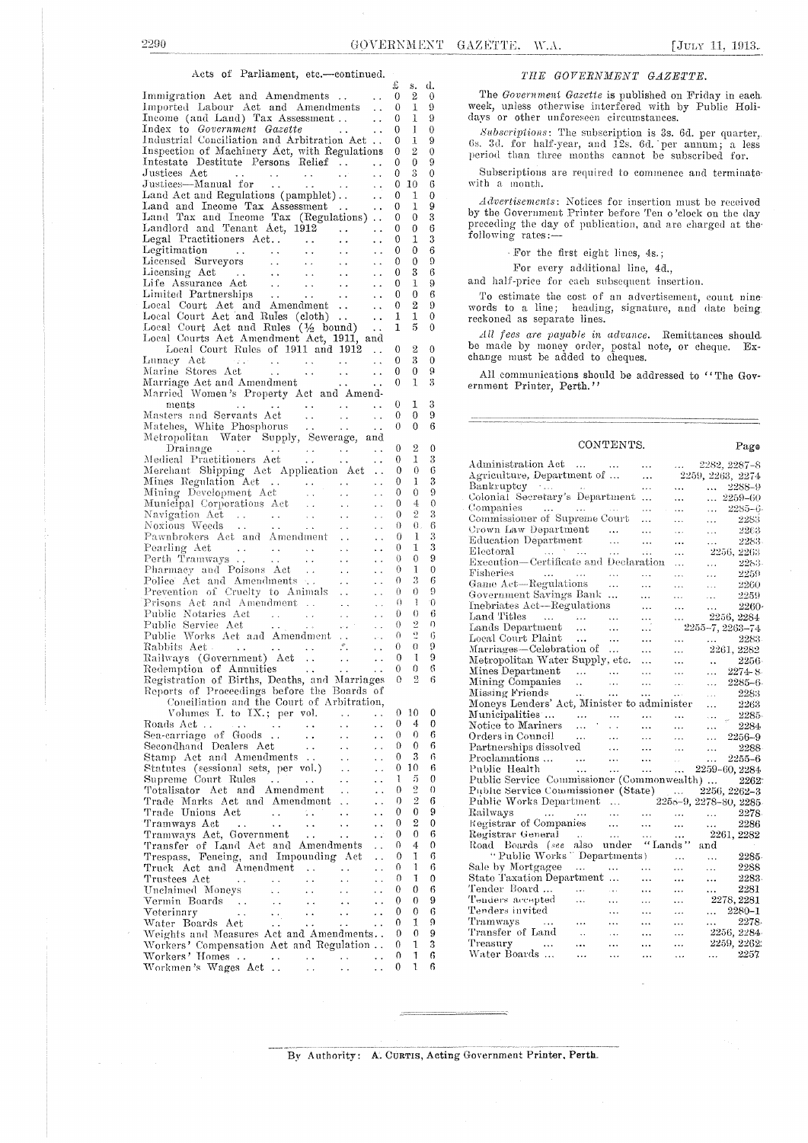### Acts of Parliament, etc.-continued.

|                                                                                                                                                                                                                                        |                          | x        | s.            | α                        |
|----------------------------------------------------------------------------------------------------------------------------------------------------------------------------------------------------------------------------------------|--------------------------|----------|---------------|--------------------------|
| Immigration Act and Amendments<br>Imported Labour Act and Amendments                                                                                                                                                                   |                          | 0        | 2             | €                        |
|                                                                                                                                                                                                                                        |                          | 0        | T             | ç                        |
| Income (and Land) Tax Assessment                                                                                                                                                                                                       |                          | 0        | 1             | ç                        |
|                                                                                                                                                                                                                                        | $\sim 10^{-1}$           |          |               |                          |
| Index to Government Gazette                                                                                                                                                                                                            |                          | 0        | 1             | $\mathcal{C}$            |
| Industrial Conciliation and Arbitration Act                                                                                                                                                                                            |                          | 0        | 1             | Ş                        |
| Inspection of Machinery Act, with Regulations<br>Intestate Destitute Persons Relief                                                                                                                                                    |                          | 0        | 2             | Ç                        |
|                                                                                                                                                                                                                                        |                          | 0        | $\theta$      | ţ                        |
| Justices Act                                                                                                                                                                                                                           | $\ddot{\phantom{0}}$     | 0        | $\rm 3$       | C                        |
|                                                                                                                                                                                                                                        | $\sim$                   | 0        | 10            | €                        |
| Land Act and Regulations (pamphlet).                                                                                                                                                                                                   | $\sim$ $\sim$            | 0        | 1             | Ç                        |
| Land and Income Tax Assessment                                                                                                                                                                                                         |                          | 0        | 1             | ç                        |
|                                                                                                                                                                                                                                        | $\sim$ $\sim$            |          | $\mathbf 0$   |                          |
| Land Tax and Income Tax (Regulations)                                                                                                                                                                                                  |                          | 0        |               | Ê                        |
|                                                                                                                                                                                                                                        |                          | 0        | 0             | €                        |
|                                                                                                                                                                                                                                        | $\sim 100$               | 0        | 1             |                          |
|                                                                                                                                                                                                                                        |                          | 0        | 0             | €                        |
|                                                                                                                                                                                                                                        |                          | 0        | 0             | ţ                        |
|                                                                                                                                                                                                                                        | $\sim 10^{-1}$           | 0        | 3             | €                        |
|                                                                                                                                                                                                                                        | $\sim 10^{-1}$           | 0        | 1             | ć                        |
|                                                                                                                                                                                                                                        |                          |          | $\theta$      | €                        |
|                                                                                                                                                                                                                                        |                          | 0        |               |                          |
|                                                                                                                                                                                                                                        | $\sim 10^{-1}$           | 0        | 2             | ţ                        |
|                                                                                                                                                                                                                                        |                          | 1        | 1             | (                        |
|                                                                                                                                                                                                                                        |                          | 1        | 5             | ĺ                        |
| Local Courts Act Amendment Act, 1911, and<br>Local Court Rules of 1911 and 1912.                                                                                                                                                       |                          |          |               |                          |
|                                                                                                                                                                                                                                        |                          | 0        | 2             | (                        |
|                                                                                                                                                                                                                                        |                          | 0        | 3             | $\overline{\mathcal{L}}$ |
|                                                                                                                                                                                                                                        |                          |          |               |                          |
| Lunacy Act<br>Marine Stores Act<br>Marriage Act and Amendment<br>Married Women's Property Act and Amend-                                                                                                                               |                          | 0        | 0             | ć                        |
|                                                                                                                                                                                                                                        |                          | 0        | 1             | ξ                        |
|                                                                                                                                                                                                                                        |                          |          |               |                          |
|                                                                                                                                                                                                                                        |                          | 0        | 1             | έ                        |
|                                                                                                                                                                                                                                        |                          | 0        | 0             | į                        |
|                                                                                                                                                                                                                                        |                          | 0        | 0             | $\epsilon$               |
|                                                                                                                                                                                                                                        |                          |          |               |                          |
| ments<br>Masters and Servants Act<br>Matches, White Phosphorus<br>Metropolitan Water Supply, Sewerage, and<br>Drainage                                                                                                                 |                          |          | 2             |                          |
| Drainage<br>Medical Practitioners Act<br>Merchant Shipping Act Application Act                                                                                                                                                         |                          | 0        |               | $\overline{\mathcal{L}}$ |
|                                                                                                                                                                                                                                        |                          | 0        | 1             |                          |
|                                                                                                                                                                                                                                        |                          | 0        | $\theta$      | (                        |
|                                                                                                                                                                                                                                        |                          | 0        | 1             |                          |
| Mines Regulation Act<br>Mining Development Act<br>Mining Development Act<br>Municipal Corporations Act<br>Navigation Act<br>Noxious Weeds<br>Act and Amendment<br>Pawnbrokers Act and Amendment<br>Pawnbrokers Act and Amendment<br>   | $\sim 10$                | 0        | 0             |                          |
|                                                                                                                                                                                                                                        |                          | 0        | 4             |                          |
|                                                                                                                                                                                                                                        |                          | 0        | 2             |                          |
|                                                                                                                                                                                                                                        |                          | 0        | $\theta$ .    |                          |
|                                                                                                                                                                                                                                        | $\sim$ $\sim$            |          |               |                          |
|                                                                                                                                                                                                                                        |                          | 0        | 1             |                          |
|                                                                                                                                                                                                                                        | $\ddot{\phantom{a}}$     | 0        | 1             |                          |
|                                                                                                                                                                                                                                        | $\sim 10^{-1}$           | 0        | 0             |                          |
| Pharmacy and Poisons Act<br>Police Act and Amendments<br>Prevention of Cruelty to Animals                                                                                                                                              | $\sim 10^{-1}$           | 0        | 1             | (                        |
|                                                                                                                                                                                                                                        | $\overline{\mathcal{L}}$ | 0        | 3             | ţ                        |
|                                                                                                                                                                                                                                        | $\mathbf{r}$             | 0        | 0             |                          |
|                                                                                                                                                                                                                                        |                          | $\theta$ | Ŧ             |                          |
| Frisons Act and Amendment<br>Prisons Act and Amendment<br>Public Notaries Act<br>Public Works Act and Amendment<br>Public Works Act and Amendment<br>Rabbits Act<br>Rabbits Act<br>Railways (Government) Act<br>Redemption of Amuities | $\sim$ $\sim$            |          |               |                          |
|                                                                                                                                                                                                                                        | $\epsilon$ .             | 0        | 0             |                          |
|                                                                                                                                                                                                                                        | $\sim$ $\sim$            | 0.       | $\frac{9}{9}$ | $\mathbf{f}$             |
|                                                                                                                                                                                                                                        | $\Delta\sim 10^{-1}$     | 0.       |               | ĺ                        |
|                                                                                                                                                                                                                                        | $\mathbf{r}$             | 0.       | 0             | í                        |
|                                                                                                                                                                                                                                        | $\sim$ $\sim$            | 0        | -1            | ١                        |
|                                                                                                                                                                                                                                        |                          | 0        | 0             | ŧ                        |
|                                                                                                                                                                                                                                        |                          |          | 2             |                          |
| Redemption of Amuities<br>Registration of Births, Deaths, and Marriages<br>Reports of Proceedings before the Boards of                                                                                                                 |                          | 0        |               | ŧ                        |
|                                                                                                                                                                                                                                        |                          |          |               |                          |
| Conciliation and the Court of Arbitration,                                                                                                                                                                                             |                          |          |               |                          |
| Volumes I, to IX.; per vol.<br>$\sim$ $\sim$                                                                                                                                                                                           | $\ddot{\phantom{1}}$ .   | 0        | 10            | (                        |
| Roads Act<br>$\sim 10^{-1}$<br>$\sim$ $\sim$<br>$\ddot{\phantom{a}}$                                                                                                                                                                   | i.                       | 0        | 4             | ţ                        |
| Sea-carriage of Goods<br>$\sim$ $\sim$                                                                                                                                                                                                 | . .                      | 0        | 0             | ŧ                        |
| Secondhand Dealers Act<br>$\Box$                                                                                                                                                                                                       |                          | 0        | 0             | Í                        |
|                                                                                                                                                                                                                                        | . .                      |          |               |                          |
| Stamp Act and Amendments<br>$\ddot{\phantom{0}}$                                                                                                                                                                                       | $\ddot{\phantom{0}}$     | 0        | 3             | ł                        |
| Statutes (sessional sets, per vol.)<br>. .                                                                                                                                                                                             | . .                      | 0        | 10            | ł                        |
| Supreme Court Rules<br>$\ddotsc$                                                                                                                                                                                                       | . .                      | 1        | 5             | (                        |
| Totalisator Act and Amendment<br>$\ddotsc$                                                                                                                                                                                             | . .                      | 0        | 2             | l                        |
| Trade Marks Act and Amendment<br>$\ddot{\phantom{a}}$                                                                                                                                                                                  | . .                      | 0        | 2             | €                        |
| Trade Unions Act<br>$\Delta\Delta\phi=0.5\,\mathrm{GeV}^{-1}$<br>$\ddot{\phantom{1}}$                                                                                                                                                  | Ω,                       | 0        | 0             | í                        |
|                                                                                                                                                                                                                                        |                          | 0        | 2             | (                        |
| Tramways Act<br>$\sim 100$ km $^{-2}$<br>$\ddot{\phantom{1}}$<br>$\sim$ .<br>$\ddot{\phantom{0}}$                                                                                                                                      | . .                      |          |               |                          |
| Tramways Act, Government<br>$\ddot{\phantom{0}}$                                                                                                                                                                                       | . .                      | 0        | 0             | l                        |
| Transfer of Land Act and Amendments                                                                                                                                                                                                    | . .                      | 0        | 4             | t                        |
| Trespass, Fencing, and Impounding Act                                                                                                                                                                                                  | $\ddot{\phantom{0}}$     | 0        | 1             | f                        |
| Truck Act and Amendment<br>$\sim$<br>$\ddotsc$                                                                                                                                                                                         | . .                      | 0        | 1             | Í                        |
| Trustees Act<br>$\sim$ $\sim$<br>$\ddot{\phantom{0}}$                                                                                                                                                                                  | $\ddot{\phantom{0}}$     | 0        | 1             | $\overline{\mathcal{L}}$ |
|                                                                                                                                                                                                                                        |                          | 0        | 0             | ł                        |
| Unclaimed Moneys<br>$\sim$<br>$\mathbf{V}(\mathbf{x})$<br>$\ddot{\phantom{1}}$ .                                                                                                                                                       | . .                      |          |               |                          |
| Vermin Boards<br>$\sim 10^{-1}$<br>$\Box$<br>$\ddotsc$                                                                                                                                                                                 | . .                      | 0        | 0             | ļ                        |
| Veterinary<br>$\ddot{\phantom{a}}$ .<br>$\star$ $\star$ $_{\odot}$<br>$\ddot{\phantom{1}}$ .<br>$\ddot{\phantom{0}}$                                                                                                                   |                          | 0        | 0             | ł                        |
| $\sim 11$<br>Water Boards Act<br>$\ddot{\phantom{0}}$<br>$\sim$ $\sim$                                                                                                                                                                 | . .                      | 0        | 1             | ŗ                        |
| Weights and Measures Act and Amendments                                                                                                                                                                                                |                          | 0        | 0             | Ş                        |
| Workers' Compensation Act and Regulation                                                                                                                                                                                               |                          | 0        | 1             | $\ddot{\cdot}$           |
|                                                                                                                                                                                                                                        |                          | 0        | 1             | €                        |
| Workers' Homes                                                                                                                                                                                                                         | . .                      |          |               |                          |
| Workmen's Wages Act<br>$\ddot{\phantom{0}}$<br>$\ddot{\phantom{1}}$                                                                                                                                                                    | $\ddot{\phantom{0}}$     | 0        | 1             | ł                        |
|                                                                                                                                                                                                                                        |                          |          |               |                          |

#### THE GOVERNMENT GAZETTE.

The Government Gazette is published on Friday in each. week, unless otherwise interfered with by Public Holidays or other unforeseen circumstances.

Subscriptions: The subscription is 3s. 6d. per quarter, 6s. 3d. for half-year, and 12s. 6d. per annum; a less period than three months cannot be subscribed for.

Subscriptions are required to commence and terminate with a month.

Advertisements: Notices for insertion must be received by the Government Printer before Ten o'clock on the day preceding the day of publication, and are charged at the following rates:-

For the first eight lines, 4s.;

For every additional line, 4d.,

and half-price for each subsequent insertion.

To estimate the cost of an advertisement, count nine words to a line; heading, signature, and date being reckoned as separate lines.

All fees are payable in advance. Remittances should be made by money order, postal note, or cheque. Ex-

All communications should be addressed to "The Government Printer, Perth."

#### CONTENTS.

| Administration Act                                  |            |                       |                               | ilian n              | 2282, 2287-8                 |              |
|-----------------------------------------------------|------------|-----------------------|-------------------------------|----------------------|------------------------------|--------------|
| Agriculture, Department of                          |            |                       | .                             |                      | 2259, 2263, 2274             |              |
| Bankruptcy<br>Colonial Secretary's Department       |            |                       | $\cdots$                      | $\ddotsc$            | $\cdots$                     | 2288-9       |
|                                                     |            |                       | .                             | $\cdots$             | 2259–60                      |              |
| Companies                                           |            |                       | $\cdots$                      | $\ddotsc$            | a dia                        | $2285 - 6$   |
| Commissioner of Supreme Court                       |            |                       | .                             | $\cdots$             | .                            | 2283         |
| Crown Law Department                                |            | .                     | .                             | ولده                 | .                            | 2263         |
| Education Department                                |            | $\cdots$              | $\cdots$                      | $\ddot{\phantom{a}}$ | $\cdots$                     | 2283         |
| Electoral<br>and the state of the state of the      |            | $\ddotsc$             | .                             | .                    | 2256, 2263                   |              |
| Execution—Certificate and Declaration               |            |                       |                               | $\cdots$             | $\sim$                       | 2283         |
| Fisheries                                           |            | .                     | .                             | $\cdots$             | .                            | 2259         |
| Game Act-Regulations                                |            | .                     | .                             | .                    | $\ldots$                     | 2260         |
| Government Savings Bank                             |            | .                     | $\ddotsc$                     | $\mathbf{r}$         | $\cdots$                     | 2259         |
| Inebriates Act-Regulations                          |            |                       | .                             | $\cdots$             | $\cdots$                     | $2260 -$     |
| Land Titles<br>$\sim 1000$ km $^{-1}$<br>$\sim 100$ |            | .                     | $\cdots$                      | $\cdots$             | 2256, 2284                   |              |
| Lands Department<br>$\sim$ 100 $\pm$                |            | $\ddotsc$             | .                             |                      | 2255–7, 2263–74              |              |
| Local Court Plaint<br>$\ddotsc$                     |            |                       |                               |                      | $\mathcal{L}(\mathcal{L})$ . | 2283         |
| Marriages—Celebration of                            |            | .                     | $\cdots$                      | $\cdots$             | 2261, 2282                   |              |
| Metropolitan Water Supply, etc.                     |            |                       | $\cdots$                      | $\ddotsc$            |                              |              |
|                                                     |            |                       | $\cdots$                      | .                    | $\bar{\omega}$               | $-2256\cdot$ |
| Mines Department<br>$\sim$                          |            | $\ddotsc$             | $\ddotsc$                     | $\cdots$             | $\cdots$                     | $2274 - 8$   |
| Mining Companies<br>$\ddot{\phantom{a}}$            |            | $\ddotsc$             | .                             | $\ldots$             | $\cdots$                     | $2285 - 6$   |
| Missing Friends<br>$\ddotsc$                        |            | .                     | .                             | المد                 | $\cdots$                     | 2283         |
| Moneys Lenders' Act, Minister to administer         |            |                       |                               |                      | $\ddotsc$                    | -2263        |
| Municipalities<br>$\sim$                            |            | .                     | $\ddotsc$                     | $\ddotsc$            | $\sim$ $\sim$ $\sim$         | 2285         |
| Notice to Mariners<br>$\ddotsc$                     |            | $\sim$                | $\cdots$                      | $\ddotsc$            | $\ddotsc$                    | 2284         |
| Orders in Council<br>$\ldots$                       |            | $\ddotsc$             | .                             | $\cdots$             | .                            | 2256-9       |
| Partnerships dissolved                              |            | $\ddotsc$             | .                             | $\ddotsc$            | $\ddotsc$                    | 2288         |
| Proclamations<br>$\sim 100$ and                     |            | $\sim$                | $\mathbf{1}$ and $\mathbf{1}$ | $\sim$               | $\cdots$                     | $2255 - 6$   |
| Public Health<br><b>Contract Contract</b>           |            | <b>Asset Contract</b> | $\cdots$                      | $\cdots$             | 2259-60, 2284                |              |
| Public Service Commissioner (Commonwealth)  2262    |            |                       |                               |                      |                              |              |
| Public Service Commissioner (State)  2256, 2262-3   |            |                       |                               |                      |                              |              |
| Public Works Department                             |            |                       |                               |                      | 2258-9, 2278-80, 2285        |              |
| Railways<br>فخدان المحداث المحجان                   |            |                       | $\cdots$                      |                      | $\ldots$ $\ldots$ $2278$     |              |
| Registrar of Companies                              |            | .                     | $\cdots$                      | $\ddotsc$            | aasta ta                     | 2286         |
| Registrar General                                   |            | $\cdots$              | $\cdots$                      | $\cdots$             | 2261, 2282                   |              |
| Road Boards (see                                    | also under |                       | "Lands"                       |                      | and                          |              |
| "Public Works" Departments)                         |            |                       |                               | .                    | $\ddotsc$                    | 2285         |
| Sale by Mortgagee<br>$\ddots$                       |            | .                     | $\cdots$                      | $\ddotsc$            | $\ddotsc$                    | 2288         |
| State Taxation Department                           |            |                       | $\cdots$                      | $\ddotsc$            | $\ddotsc$                    | 2283         |
| Tender Board<br>$\ddotsc$                           |            | $\sim$ $\sim$         | $\ddotsc$                     | $\cdots$             | $\cdots$                     | 2281         |
| Tenders accepted<br>$\cdots$                        |            | $\cdots$              | $\ddotsc$                     |                      | 2278, 2281                   |              |
| Tenders invited                                     |            | .                     | .                             |                      | $\ldots$ 2280-1              |              |
| Tramways<br>$\sim 100$ km $^{-2}$                   |            | $\cdot$ $\cdot$       | $\ddotsc$                     |                      | $\cdots$                     | 2278-        |
| .<br>Transfer of Land                               |            |                       |                               | $\cdots$             | 2256, 2284                   |              |
| $\sim$                                              |            | $\ddotsc$             | $\cdots$                      | $\cdots$             | 2259, 2262                   |              |
| Treasury<br><br>Water Boards                        |            |                       | .                             | .                    |                              |              |
| .                                                   |            | .                     | .                             | $\cdots$             | $\ldots$ 2257                |              |
|                                                     |            |                       |                               |                      |                              |              |

#### By Authority: A. CURTIS, Acting Government Printer, Perth.

JULY 11, 1913.

Page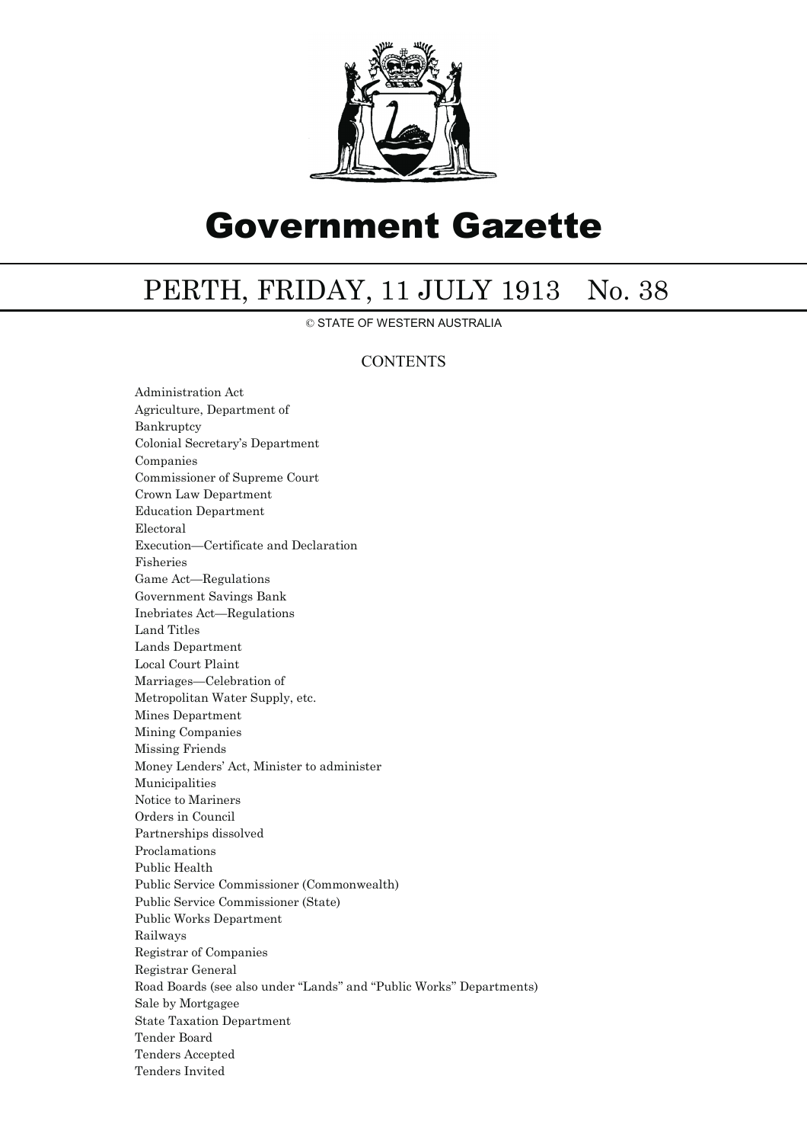

# Government Gazette

## PERTH, FRIDAY, 11 JULY 1913 No. 38

© STATE OF WESTERN AUSTRALIA

## **CONTENTS**

Administration Act Agriculture, Department of Bankruptcy Colonial Secretary's Department Companies Commissioner of Supreme Court Crown Law Department Education Department Electoral Execution—Certificate and Declaration Fisheries Game Act—Regulations Government Savings Bank Inebriates Act—Regulations Land Titles Lands Department Local Court Plaint Marriages—Celebration of Metropolitan Water Supply, etc. Mines Department Mining Companies Missing Friends Money Lenders' Act, Minister to administer Municipalities Notice to Mariners Orders in Council Partnerships dissolved Proclamations Public Health Public Service Commissioner (Commonwealth) Public Service Commissioner (State) Public Works Department Railways Registrar of Companies Registrar General Road Boards (see also under ''Lands'' and ''Public Works'' Departments) Sale by Mortgagee State Taxation Department Tender Board Tenders Accepted Tenders Invited